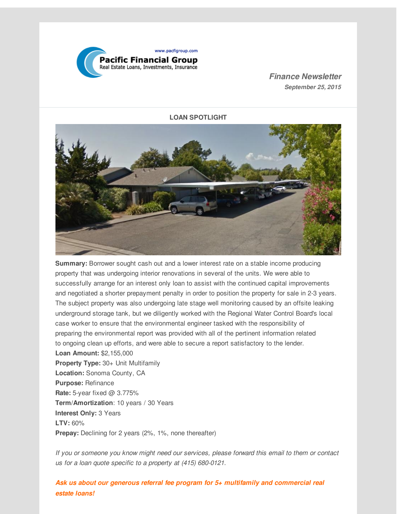

*Finance Newsletter September 25, 2015*

**LOAN SPOTLIGHT**



**Summary:** Borrower sought cash out and a lower interest rate on a stable income producing property that was undergoing interior renovations in several of the units. We were able to successfully arrange for an interest only loan to assist with the continued capital improvements and negotiated a shorter prepayment penalty in order to position the property for sale in 2-3 years. The subject property was also undergoing late stage well monitoring caused by an offsite leaking underground storage tank, but we diligently worked with the Regional Water Control Board's local case worker to ensure that the environmental engineer tasked with the responsibility of preparing the environmental report was provided with all of the pertinent information related to ongoing clean up efforts, and were able to secure a report satisfactory to the lender.

**Loan Amount:** \$2,155,000 **Property Type:** 30+ Unit Multifamily **Location:** Sonoma County, CA **Purpose:** Refinance **Rate:** 5-year fixed @ 3.775% **Term/Amortization**: 10 years / 30 Years **Interest Only:** 3 Years **LTV:** 60% **Prepay:** Declining for 2 years (2%, 1%, none thereafter)

*If you or someone you know might need our services, please forward this email to them or contact us for a loan quote specific to a property at (415) 680-0121.*

*Ask us about our generous referral fee program for 5+ multifamily and commercial real estate loans!*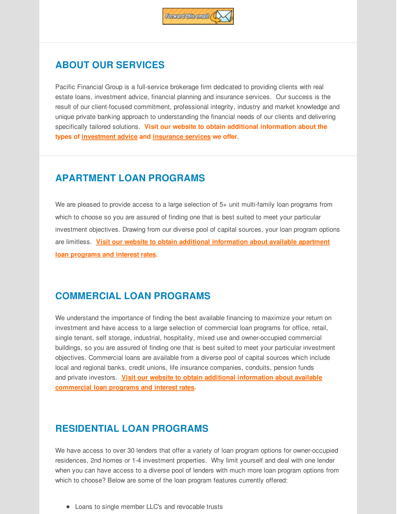

## **ABOUT OUR SERVICES**

Pacific Financial Group is a full-service brokerage firm dedicated to providing clients with real estate loans, investment advice, financial planning and insurance services. Our success is the result of our client-focused commitment, professional integrity, industry and market knowledge and unique private banking approach to understanding the financial needs of our clients and delivering specifically tailored solutions. **Visit our website to obtain additional information about the types of [investment](http://r20.rs6.net/tn.jsp?f=001RFuZL2bxypJq6u3u2K6b061pPMn2dwai-WUbOw_auEGzg3KOLbC1i--XmusLfyLNgRnNR_D9VmNZKFoCFkto6ZYcoCkTVsjJeoFTe0lg5ZWFiEYZtxqrfSuIZKfNjf_2Aa9d0zQnB6uO8vuGAzGWbyC5iXT4SuFzGS2eL6HCXKyiTfb-Wb0NJkiw30uKzfsp7wpCpXC2siM=&c=&ch=) advice and [insurance](http://r20.rs6.net/tn.jsp?f=001RFuZL2bxypJq6u3u2K6b061pPMn2dwai-WUbOw_auEGzg3KOLbC1i--XmusLfyLNkTjOHkFFzrISkNjICBU0Euntnve5ZaocK3ZW5x694CcrVDJfFbaOTwBIM1zneGm2WKfEJoqDUDZ2T3m284LKOhiDB5y5Uh68eMISyShUxkLWlNfBOdA60_RKuaQDWB9geDRKPbZpffs=&c=&ch=) services we offer.**

## **APARTMENT LOAN PROGRAMS**

We are pleased to provide access to a large selection of 5+ unit multi-family loan programs from which to choose so you are assured of finding one that is best suited to meet your particular investment objectives. Drawing from our diverse pool of capital sources, your loan program options are limitless. **Visit our website to obtain additional [information](http://r20.rs6.net/tn.jsp?f=001RFuZL2bxypJq6u3u2K6b061pPMn2dwai-WUbOw_auEGzg3KOLbC1i--XmusLfyLN2J50SNZCFwPiyitdHNVk6zBScoJB114_9SU_4hMtixPStLsi1bssKtSd6F_ZlWaXi3AweX3ZFEQ7q969AyjDPZd1A3q3kFTwTVhOIh7jYB_44eIqS_XxiaWSF_fbSjMAtTsYAlVhn5s=&c=&ch=) about available apartment loan programs and interest rates.**

# **COMMERCIAL LOAN PROGRAMS**

We understand the importance of finding the best available financing to maximize your return on investment and have access to a large selection of commercial loan programs for office, retail, single tenant, self storage, industrial, hospitality, mixed use and owner-occupied commercial buildings, so you are assured of finding one that is best suited to meet your particular investment objectives. Commercial loans are available from a diverse pool of capital sources which include local and regional banks, credit unions, life insurance companies, conduits, pension funds and private investors. **Visit our website to obtain additional information about available [commercial](http://r20.rs6.net/tn.jsp?f=001RFuZL2bxypJq6u3u2K6b061pPMn2dwai-WUbOw_auEGzg3KOLbC1i--XmusLfyLNPUeCv14ltHsZN07c5Ffj0Xcv_ehy6kFaR0-SZD0MLRTOsV0WR0oEaKKjSUKvB8Pl_P2I4Y_Pnj0hjoldU4iPwWcBcNNqjLf95TazMzZRM7TQEZIcuuM5U34w2A9CPszKESqcWrvXOos=&c=&ch=) loan programs and interest rates.**

## **RESIDENTIAL LOAN PROGRAMS**

We have access to over 30 lenders that offer a variety of loan program options for owner-occupied residences, 2nd homes or 1-4 investment properties. Why limit yourself and deal with one lender when you can have access to a diverse pool of lenders with much more loan program options from which to choose? Below are some of the loan program features currently offered:

Loans to single member LLC's and revocable trusts